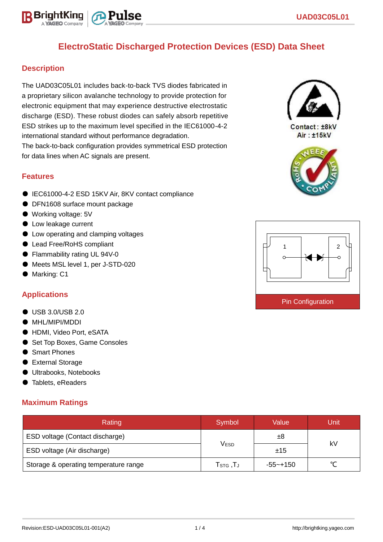# **ElectroStatic Discharged Protection Devices (ESD) Data Sheet**

## **Description**

The UAD03C05L01 includes back-to-back TVS diodes fabricated in a proprietary silicon avalanche technology to provide protection for electronic equipment that may experience destructive electrostatic discharge (ESD). These robust diodes can safely absorb repetitive ESD strikes up to the maximum level specified in the IEC61000-4-2 international standard without performance degradation.

The back-to-back configuration provides symmetrical ESD protection for data lines when AC signals are present.

#### **Features**

- IEC61000-4-2 ESD 15KV Air, 8KV contact compliance
- DFN1608 surface mount package
- Working voltage: 5V
- Low leakage current
- Low operating and clamping voltages
- Lead Free/RoHS compliant
- Flammability rating UL 94V-0
- Meets MSL level 1, per J-STD-020
- Marking: C1

### **Applications**

- USB 3.0/USB 2.0
- MHL/MIPI/MDDI
- HDMI, Video Port, eSATA
- Set Top Boxes, Game Consoles
- Smart Phones
- External Storage
- Ultrabooks, Notebooks
- Tablets, eReaders

#### **Maximum Ratings**

| Rating                                | Symbol                          | Value       | <b>Unit</b> |  |
|---------------------------------------|---------------------------------|-------------|-------------|--|
| ESD voltage (Contact discharge)       |                                 | ±8          | kV          |  |
| ESD voltage (Air discharge)           | <b>VESD</b>                     | ±15         |             |  |
| Storage & operating temperature range | $\mathsf{T}_{\texttt{STG}}$ ,T」 | $-55$ ~+150 | $\sim$      |  |



Contact: ±8kV Air: ±15kV



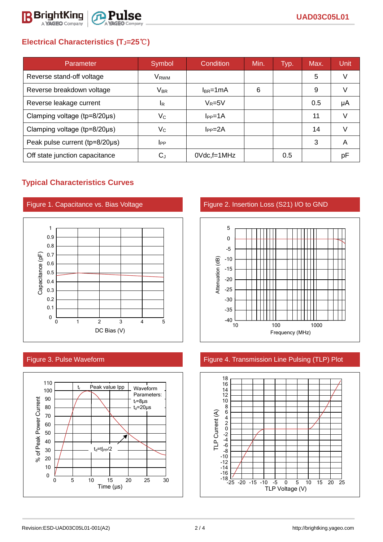

# **Electrical Characteristics (TJ=25**℃**)**

| Parameter                              | Symbol                    | Condition       | Min. | Typ. | Max. | Unit |
|----------------------------------------|---------------------------|-----------------|------|------|------|------|
| Reverse stand-off voltage              | V <sub>RWM</sub>          |                 |      |      | 5    | V    |
| Reverse breakdown voltage              | $V_{\sf BR}$              | $I_{BR}$ =1mA   | 6    |      | 9    |      |
| Reverse leakage current                | ΙŖ                        | $V_R = 5V$      |      |      | 0.5  | μA   |
| Clamping voltage (tp=8/20µs)           | Vc                        | $I_{PP} = 1A$   |      |      | 11   |      |
| Clamping voltage ( $tp = 8/20 \mu s$ ) | $\mathsf{V}_{\mathsf{C}}$ | $I_{PP} = 2A$   |      |      | 14   |      |
| Peak pulse current (tp=8/20µs)         | <b>I</b> PP               |                 |      |      | 3    | А    |
| Off state junction capacitance         | $C_{d}$                   | $0Vdc$ , f=1MHz |      | 0.5  |      | рF   |

## **Typical Characteristics Curves**







Figure 1. Capacitance vs. Bias Voltage Figure 2. Insertion Loss (S21) I/O to GND



## Figure 3. Pulse Waveform Figure 4. Transmission Line Pulsing (TLP) Plot

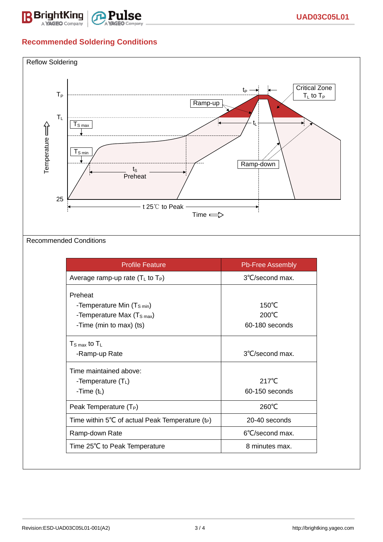

# **Recommended Soldering Conditions**